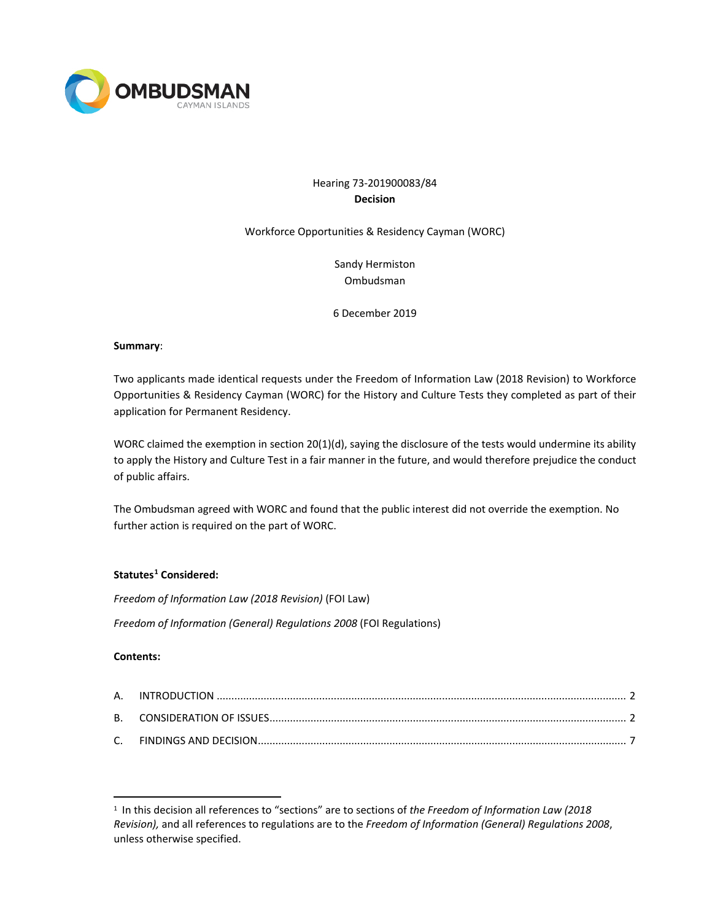

# Hearing 73-201900083/84 **Decision**

Workforce Opportunities & Residency Cayman (WORC)

Sandy Hermiston Ombudsman

6 December 2019

#### **Summary**:

Two applicants made identical requests under the Freedom of Information Law (2018 Revision) to Workforce Opportunities & Residency Cayman (WORC) for the History and Culture Tests they completed as part of their application for Permanent Residency.

WORC claimed the exemption in section 20(1)(d), saying the disclosure of the tests would undermine its ability to apply the History and Culture Test in a fair manner in the future, and would therefore prejudice the conduct of public affairs.

The Ombudsman agreed with WORC and found that the public interest did not override the exemption. No further action is required on the part of WORC.

## **Statutes[1](#page-0-0) Considered:**

*Freedom of Information Law (2018 Revision)* (FOI Law)

*Freedom of Information (General) Regulations 2008* (FOI Regulations)

## **Contents:**

<span id="page-0-0"></span><sup>1</sup> In this decision all references to "sections" are to sections of *the Freedom of Information Law (2018 Revision),* and all references to regulations are to the *Freedom of Information (General) Regulations 2008*, unless otherwise specified.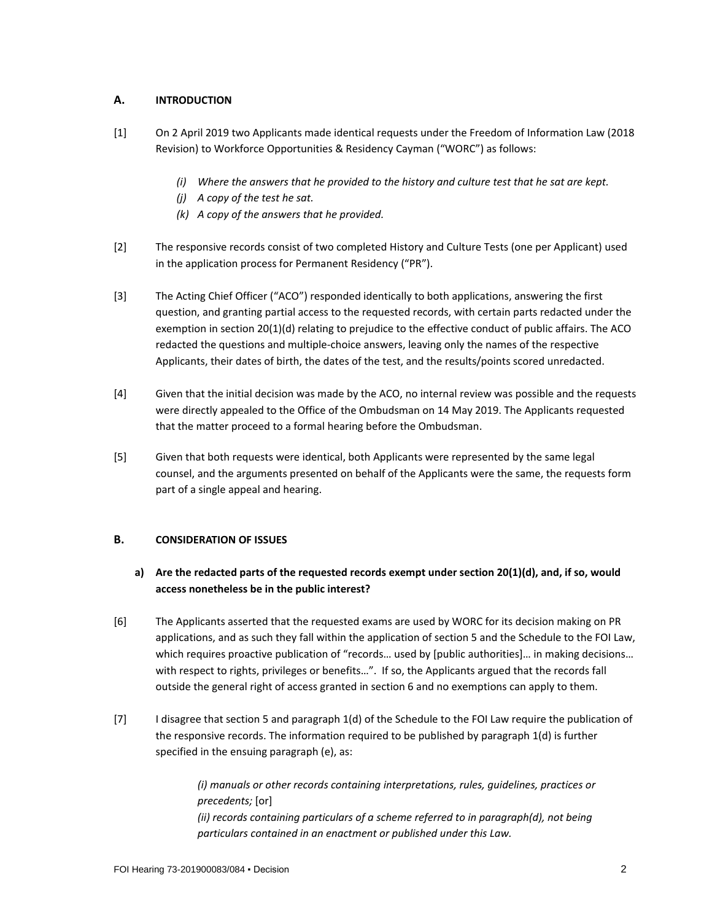# **A. INTRODUCTION**

- [1] On 2 April 2019 two Applicants made identical requests under the Freedom of Information Law (2018 Revision) to Workforce Opportunities & Residency Cayman ("WORC") as follows:
	- *(i) Where the answers that he provided to the history and culture test that he sat are kept.*
	- *(j) A copy of the test he sat.*
	- *(k) A copy of the answers that he provided.*
- [2] The responsive records consist of two completed History and Culture Tests (one per Applicant) used in the application process for Permanent Residency ("PR").
- [3] The Acting Chief Officer ("ACO") responded identically to both applications, answering the first question, and granting partial access to the requested records, with certain parts redacted under the exemption in section 20(1)(d) relating to prejudice to the effective conduct of public affairs. The ACO redacted the questions and multiple-choice answers, leaving only the names of the respective Applicants, their dates of birth, the dates of the test, and the results/points scored unredacted.
- [4] Given that the initial decision was made by the ACO, no internal review was possible and the requests were directly appealed to the Office of the Ombudsman on 14 May 2019. The Applicants requested that the matter proceed to a formal hearing before the Ombudsman.
- [5] Given that both requests were identical, both Applicants were represented by the same legal counsel, and the arguments presented on behalf of the Applicants were the same, the requests form part of a single appeal and hearing.

## **B. CONSIDERATION OF ISSUES**

- **a) Are the redacted parts of the requested records exempt under section 20(1)(d), and, if so, would access nonetheless be in the public interest?**
- [6] The Applicants asserted that the requested exams are used by WORC for its decision making on PR applications, and as such they fall within the application of section 5 and the Schedule to the FOI Law, which requires proactive publication of "records... used by [public authorities]... in making decisions... with respect to rights, privileges or benefits…". If so, the Applicants argued that the records fall outside the general right of access granted in section 6 and no exemptions can apply to them.
- [7] I disagree that section 5 and paragraph 1(d) of the Schedule to the FOI Law require the publication of the responsive records. The information required to be published by paragraph 1(d) is further specified in the ensuing paragraph (e), as:

*(i) manuals or other records containing interpretations, rules, guidelines, practices or precedents;* [or] *(ii) records containing particulars of a scheme referred to in paragraph(d), not being particulars contained in an enactment or published under this Law.*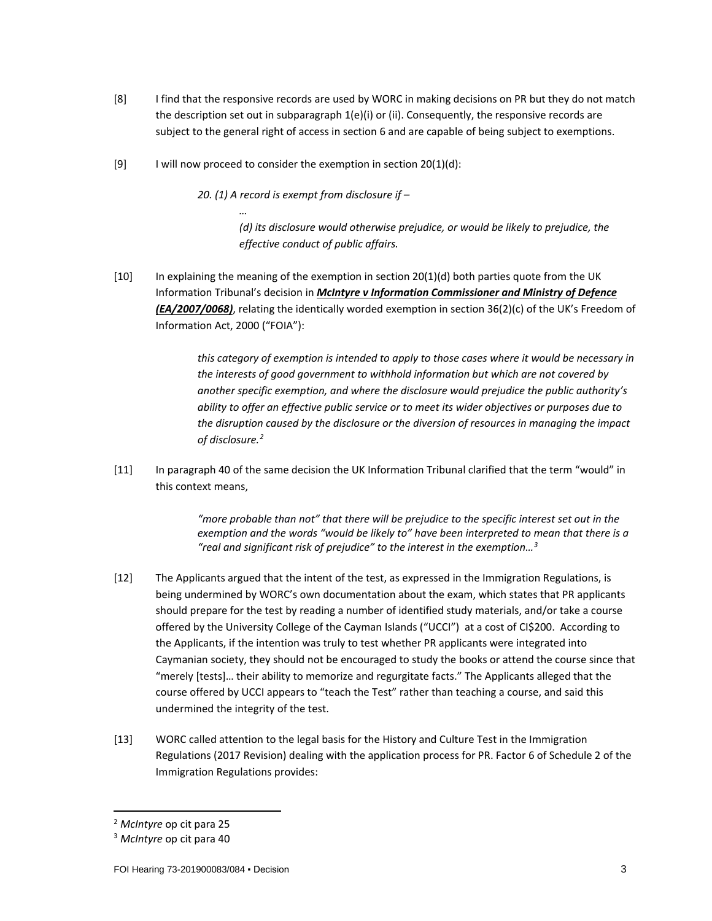- [8] I find that the responsive records are used by WORC in making decisions on PR but they do not match the description set out in subparagraph 1(e)(i) or (ii). Consequently, the responsive records are subject to the general right of access in section 6 and are capable of being subject to exemptions.
- [9] I will now proceed to consider the exemption in section  $20(1)(d)$ :

*…*

*20. (1) A record is exempt from disclosure if –*

*(d) its disclosure would otherwise prejudice, or would be likely to prejudice, the effective conduct of public affairs.*

[10] In explaining the meaning of the exemption in section 20(1)(d) both parties quote from the UK Information Tribunal's decision in *McIntyre v Information Commissioner and Ministry of Defence (EA/2007/0068)*, relating the identically worded exemption in section 36(2)(c) of the UK's Freedom of Information Act, 2000 ("FOIA"):

> *this category of exemption is intended to apply to those cases where it would be necessary in the interests of good government to withhold information but which are not covered by another specific exemption, and where the disclosure would prejudice the public authority's ability to offer an effective public service or to meet its wider objectives or purposes due to the disruption caused by the disclosure or the diversion of resources in managing the impact of disclosure.[2](#page-2-0)*

[11] In paragraph 40 of the same decision the UK Information Tribunal clarified that the term "would" in this context means,

> *"more probable than not" that there will be prejudice to the specific interest set out in the exemption and the words "would be likely to" have been interpreted to mean that there is a "real and significant risk of prejudice" to the interest in the exemption[…3](#page-2-1)*

- [12] The Applicants argued that the intent of the test, as expressed in the Immigration Regulations, is being undermined by WORC's own documentation about the exam, which states that PR applicants should prepare for the test by reading a number of identified study materials, and/or take a course offered by the University College of the Cayman Islands ("UCCI") at a cost of CI\$200. According to the Applicants, if the intention was truly to test whether PR applicants were integrated into Caymanian society, they should not be encouraged to study the books or attend the course since that "merely [tests]… their ability to memorize and regurgitate facts." The Applicants alleged that the course offered by UCCI appears to "teach the Test" rather than teaching a course, and said this undermined the integrity of the test.
- [13] WORC called attention to the legal basis for the History and Culture Test in the Immigration Regulations (2017 Revision) dealing with the application process for PR. Factor 6 of Schedule 2 of the Immigration Regulations provides:

<span id="page-2-0"></span> <sup>2</sup> *McIntyre* op cit para 25

<span id="page-2-1"></span><sup>3</sup> *McIntyre* op cit para 40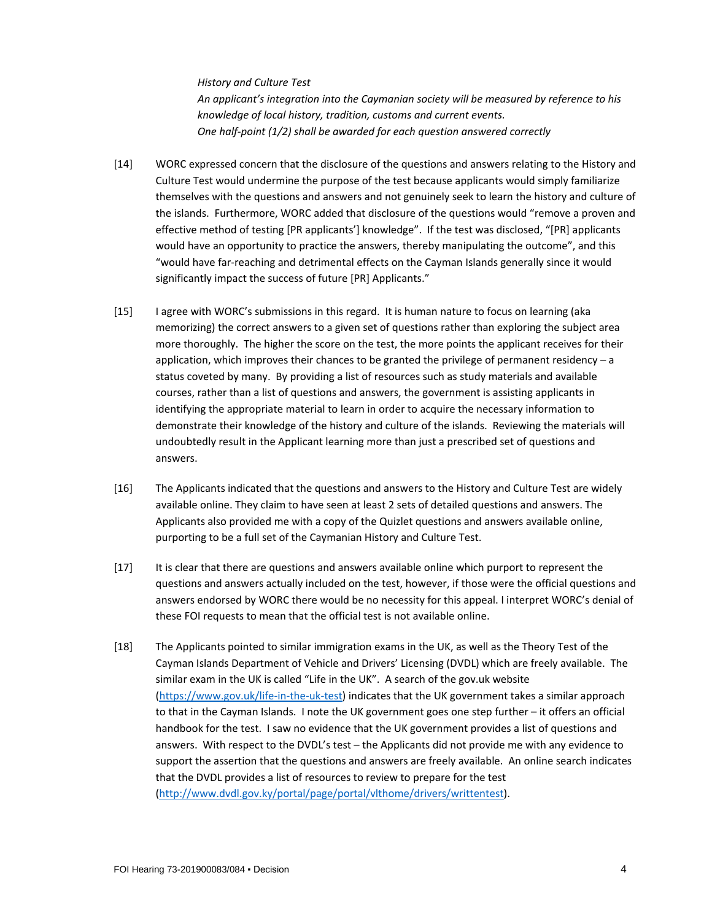*History and Culture Test An applicant's integration into the Caymanian society will be measured by reference to his knowledge of local history, tradition, customs and current events. One half-point (1/2) shall be awarded for each question answered correctly*

- [14] WORC expressed concern that the disclosure of the questions and answers relating to the History and Culture Test would undermine the purpose of the test because applicants would simply familiarize themselves with the questions and answers and not genuinely seek to learn the history and culture of the islands. Furthermore, WORC added that disclosure of the questions would "remove a proven and effective method of testing [PR applicants'] knowledge". If the test was disclosed, "[PR] applicants would have an opportunity to practice the answers, thereby manipulating the outcome", and this "would have far-reaching and detrimental effects on the Cayman Islands generally since it would significantly impact the success of future [PR] Applicants."
- [15] I agree with WORC's submissions in this regard. It is human nature to focus on learning (aka memorizing) the correct answers to a given set of questions rather than exploring the subject area more thoroughly. The higher the score on the test, the more points the applicant receives for their application, which improves their chances to be granted the privilege of permanent residency – a status coveted by many. By providing a list of resources such as study materials and available courses, rather than a list of questions and answers, the government is assisting applicants in identifying the appropriate material to learn in order to acquire the necessary information to demonstrate their knowledge of the history and culture of the islands. Reviewing the materials will undoubtedly result in the Applicant learning more than just a prescribed set of questions and answers.
- [16] The Applicants indicated that the questions and answers to the History and Culture Test are widely available online. They claim to have seen at least 2 sets of detailed questions and answers. The Applicants also provided me with a copy of the Quizlet questions and answers available online, purporting to be a full set of the Caymanian History and Culture Test.
- [17] It is clear that there are questions and answers available online which purport to represent the questions and answers actually included on the test, however, if those were the official questions and answers endorsed by WORC there would be no necessity for this appeal. I interpret WORC's denial of these FOI requests to mean that the official test is not available online.
- [18] The Applicants pointed to similar immigration exams in the UK, as well as the Theory Test of the Cayman Islands Department of Vehicle and Drivers' Licensing (DVDL) which are freely available. The similar exam in the UK is called "Life in the UK". A search of the gov.uk website [\(https://www.gov.uk/life-in-the-uk-test\)](https://www.gov.uk/life-in-the-uk-test) indicates that the UK government takes a similar approach to that in the Cayman Islands. I note the UK government goes one step further – it offers an official handbook for the test. I saw no evidence that the UK government provides a list of questions and answers. With respect to the DVDL's test – the Applicants did not provide me with any evidence to support the assertion that the questions and answers are freely available. An online search indicates that the DVDL provides a list of resources to review to prepare for the test [\(http://www.dvdl.gov.ky/portal/page/portal/vlthome/drivers/writtentest\)](http://www.dvdl.gov.ky/portal/page/portal/vlthome/drivers/writtentest).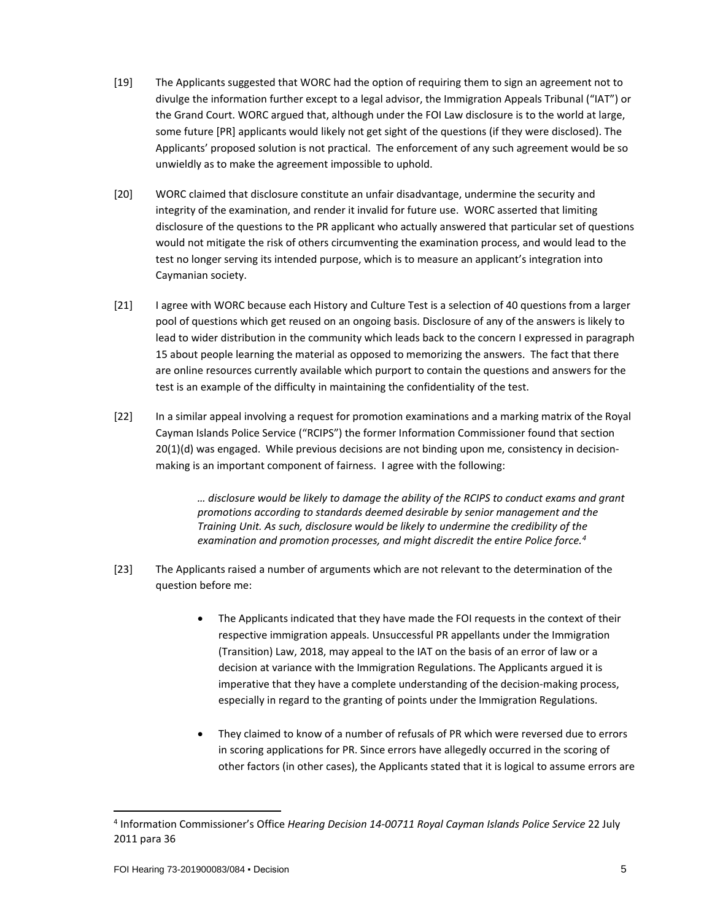- [19] The Applicants suggested that WORC had the option of requiring them to sign an agreement not to divulge the information further except to a legal advisor, the Immigration Appeals Tribunal ("IAT") or the Grand Court. WORC argued that, although under the FOI Law disclosure is to the world at large, some future [PR] applicants would likely not get sight of the questions (if they were disclosed). The Applicants' proposed solution is not practical. The enforcement of any such agreement would be so unwieldly as to make the agreement impossible to uphold.
- [20] WORC claimed that disclosure constitute an unfair disadvantage, undermine the security and integrity of the examination, and render it invalid for future use. WORC asserted that limiting disclosure of the questions to the PR applicant who actually answered that particular set of questions would not mitigate the risk of others circumventing the examination process, and would lead to the test no longer serving its intended purpose, which is to measure an applicant's integration into Caymanian society.
- [21] I agree with WORC because each History and Culture Test is a selection of 40 questions from a larger pool of questions which get reused on an ongoing basis. Disclosure of any of the answers is likely to lead to wider distribution in the community which leads back to the concern I expressed in paragraph 15 about people learning the material as opposed to memorizing the answers. The fact that there are online resources currently available which purport to contain the questions and answers for the test is an example of the difficulty in maintaining the confidentiality of the test.
- [22] In a similar appeal involving a request for promotion examinations and a marking matrix of the Royal Cayman Islands Police Service ("RCIPS") the former Information Commissioner found that section 20(1)(d) was engaged. While previous decisions are not binding upon me, consistency in decisionmaking is an important component of fairness. I agree with the following:

*… disclosure would be likely to damage the ability of the RCIPS to conduct exams and grant promotions according to standards deemed desirable by senior management and the Training Unit. As such, disclosure would be likely to undermine the credibility of the examination and promotion processes, and might discredit the entire Police force.[4](#page-4-0)*

- [23] The Applicants raised a number of arguments which are not relevant to the determination of the question before me:
	- The Applicants indicated that they have made the FOI requests in the context of their respective immigration appeals. Unsuccessful PR appellants under the Immigration (Transition) Law, 2018, may appeal to the IAT on the basis of an error of law or a decision at variance with the Immigration Regulations. The Applicants argued it is imperative that they have a complete understanding of the decision-making process, especially in regard to the granting of points under the Immigration Regulations.
	- They claimed to know of a number of refusals of PR which were reversed due to errors in scoring applications for PR. Since errors have allegedly occurred in the scoring of other factors (in other cases), the Applicants stated that it is logical to assume errors are

<span id="page-4-0"></span> <sup>4</sup> Information Commissioner's Office *Hearing Decision 14-00711 Royal Cayman Islands Police Service* 22 July 2011 para 36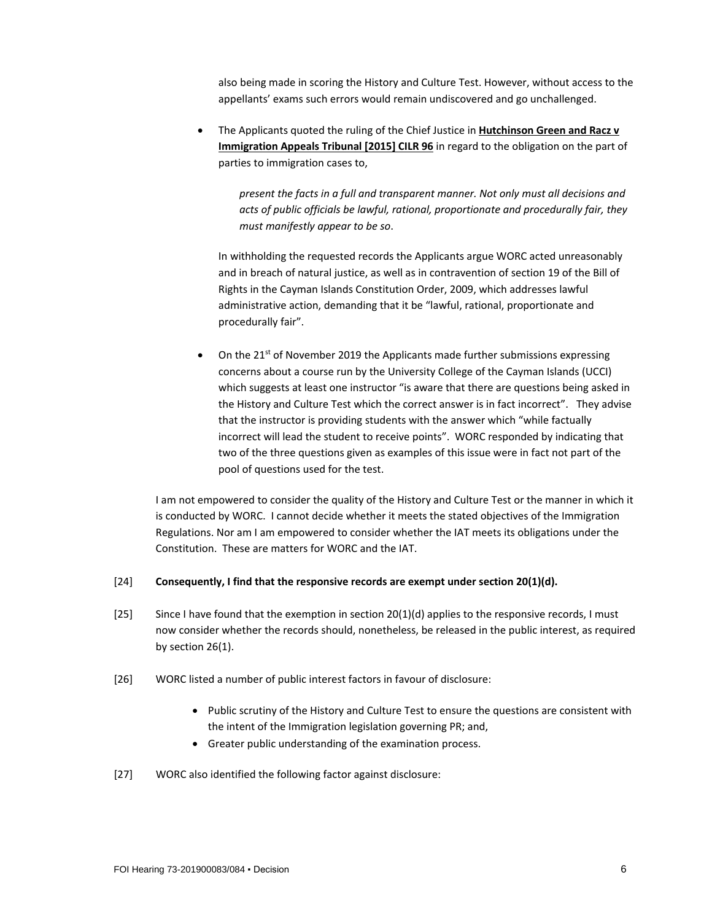also being made in scoring the History and Culture Test. However, without access to the appellants' exams such errors would remain undiscovered and go unchallenged.

• The Applicants quoted the ruling of the Chief Justice in **Hutchinson Green and Racz v Immigration Appeals Tribunal [2015] CILR 96** in regard to the obligation on the part of parties to immigration cases to,

*present the facts in a full and transparent manner. Not only must all decisions and acts of public officials be lawful, rational, proportionate and procedurally fair, they must manifestly appear to be so*.

In withholding the requested records the Applicants argue WORC acted unreasonably and in breach of natural justice, as well as in contravention of section 19 of the Bill of Rights in the Cayman Islands Constitution Order, 2009, which addresses lawful administrative action, demanding that it be "lawful, rational, proportionate and procedurally fair".

• On the  $21^{st}$  of November 2019 the Applicants made further submissions expressing concerns about a course run by the University College of the Cayman Islands (UCCI) which suggests at least one instructor "is aware that there are questions being asked in the History and Culture Test which the correct answer is in fact incorrect". They advise that the instructor is providing students with the answer which "while factually incorrect will lead the student to receive points". WORC responded by indicating that two of the three questions given as examples of this issue were in fact not part of the pool of questions used for the test.

I am not empowered to consider the quality of the History and Culture Test or the manner in which it is conducted by WORC. I cannot decide whether it meets the stated objectives of the Immigration Regulations. Nor am I am empowered to consider whether the IAT meets its obligations under the Constitution. These are matters for WORC and the IAT.

# [24] **Consequently, I find that the responsive records are exempt under section 20(1)(d).**

- [25] Since I have found that the exemption in section 20(1)(d) applies to the responsive records, I must now consider whether the records should, nonetheless, be released in the public interest, as required by section 26(1).
- [26] WORC listed a number of public interest factors in favour of disclosure:
	- Public scrutiny of the History and Culture Test to ensure the questions are consistent with the intent of the Immigration legislation governing PR; and,
	- Greater public understanding of the examination process.
- [27] WORC also identified the following factor against disclosure: